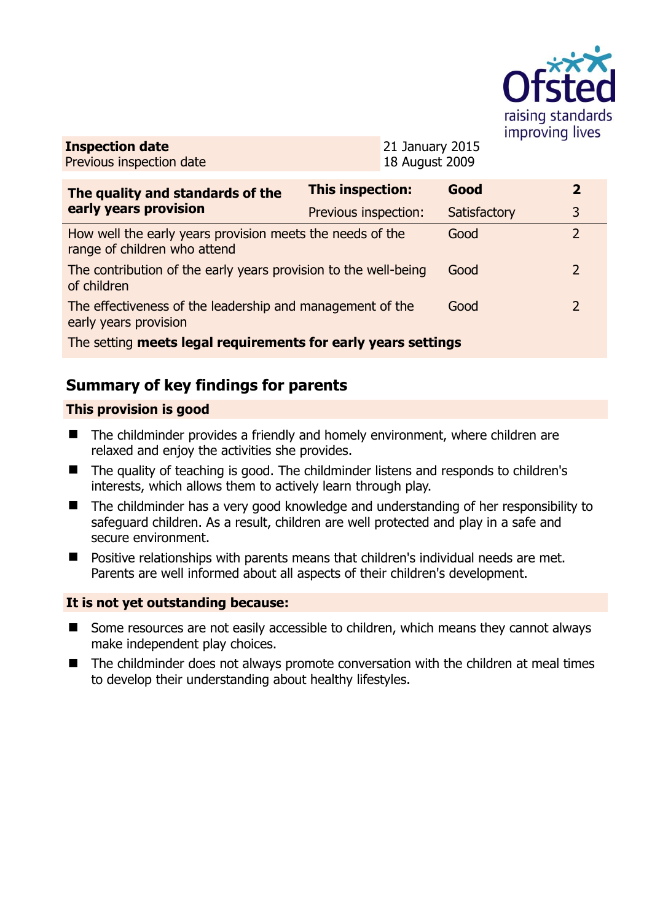

| <b>Inspection date</b>   |  |
|--------------------------|--|
| Previous inspection date |  |

21 January 2015 18 August 2009

| The quality and standards of the                                                          | This inspection:     | Good         | $\overline{2}$ |  |
|-------------------------------------------------------------------------------------------|----------------------|--------------|----------------|--|
| early years provision                                                                     | Previous inspection: | Satisfactory | 3              |  |
| How well the early years provision meets the needs of the<br>range of children who attend |                      | Good         | $\overline{2}$ |  |
| The contribution of the early years provision to the well-being<br>of children            |                      | Good         | $\overline{2}$ |  |
| The effectiveness of the leadership and management of the<br>early years provision        |                      | Good         | $\overline{2}$ |  |
| The setting meets legal requirements for early years settings                             |                      |              |                |  |

# **Summary of key findings for parents**

### **This provision is good**

- The childminder provides a friendly and homely environment, where children are relaxed and enjoy the activities she provides.
- The quality of teaching is good. The childminder listens and responds to children's interests, which allows them to actively learn through play.
- The childminder has a very good knowledge and understanding of her responsibility to safeguard children. As a result, children are well protected and play in a safe and secure environment.
- Positive relationships with parents means that children's individual needs are met. Parents are well informed about all aspects of their children's development.

### **It is not yet outstanding because:**

- Some resources are not easily accessible to children, which means they cannot always make independent play choices.
- The childminder does not always promote conversation with the children at meal times to develop their understanding about healthy lifestyles.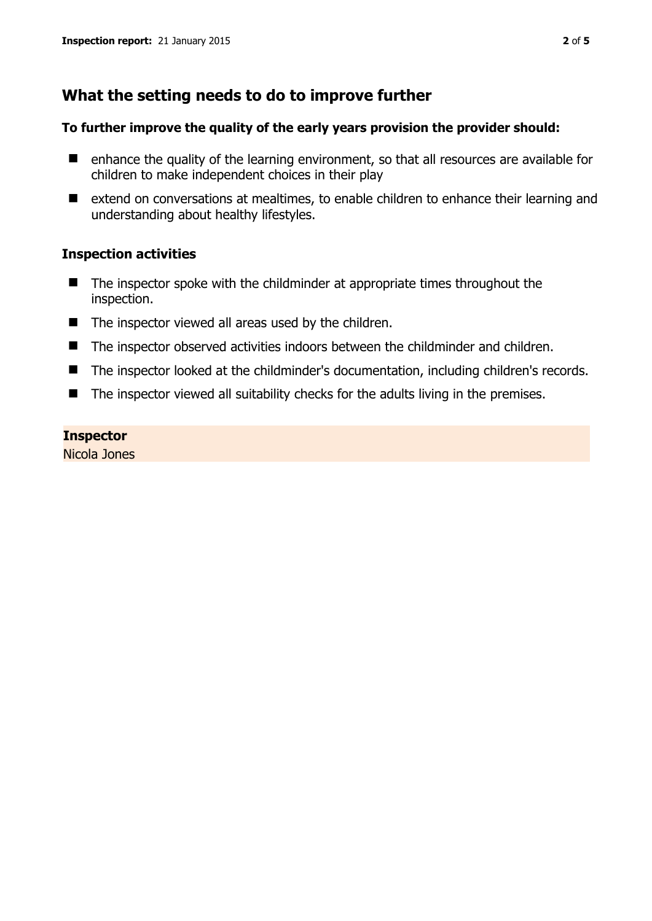## **What the setting needs to do to improve further**

#### **To further improve the quality of the early years provision the provider should:**

- enhance the quality of the learning environment, so that all resources are available for children to make independent choices in their play
- extend on conversations at mealtimes, to enable children to enhance their learning and understanding about healthy lifestyles.

#### **Inspection activities**

- The inspector spoke with the childminder at appropriate times throughout the inspection.
- $\blacksquare$  The inspector viewed all areas used by the children.
- The inspector observed activities indoors between the childminder and children.
- The inspector looked at the childminder's documentation, including children's records.
- $\blacksquare$  The inspector viewed all suitability checks for the adults living in the premises.

#### **Inspector**

Nicola Jones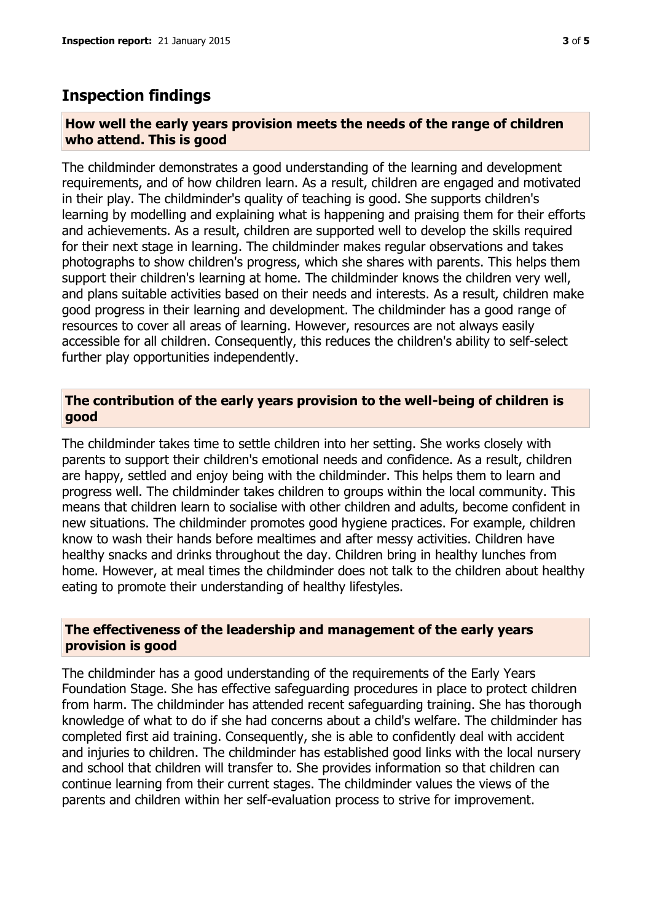## **Inspection findings**

#### **How well the early years provision meets the needs of the range of children who attend. This is good**

The childminder demonstrates a good understanding of the learning and development requirements, and of how children learn. As a result, children are engaged and motivated in their play. The childminder's quality of teaching is good. She supports children's learning by modelling and explaining what is happening and praising them for their efforts and achievements. As a result, children are supported well to develop the skills required for their next stage in learning. The childminder makes regular observations and takes photographs to show children's progress, which she shares with parents. This helps them support their children's learning at home. The childminder knows the children very well, and plans suitable activities based on their needs and interests. As a result, children make good progress in their learning and development. The childminder has a good range of resources to cover all areas of learning. However, resources are not always easily accessible for all children. Consequently, this reduces the children's ability to self-select further play opportunities independently.

#### **The contribution of the early years provision to the well-being of children is good**

The childminder takes time to settle children into her setting. She works closely with parents to support their children's emotional needs and confidence. As a result, children are happy, settled and enjoy being with the childminder. This helps them to learn and progress well. The childminder takes children to groups within the local community. This means that children learn to socialise with other children and adults, become confident in new situations. The childminder promotes good hygiene practices. For example, children know to wash their hands before mealtimes and after messy activities. Children have healthy snacks and drinks throughout the day. Children bring in healthy lunches from home. However, at meal times the childminder does not talk to the children about healthy eating to promote their understanding of healthy lifestyles.

#### **The effectiveness of the leadership and management of the early years provision is good**

The childminder has a good understanding of the requirements of the Early Years Foundation Stage. She has effective safeguarding procedures in place to protect children from harm. The childminder has attended recent safeguarding training. She has thorough knowledge of what to do if she had concerns about a child's welfare. The childminder has completed first aid training. Consequently, she is able to confidently deal with accident and injuries to children. The childminder has established good links with the local nursery and school that children will transfer to. She provides information so that children can continue learning from their current stages. The childminder values the views of the parents and children within her self-evaluation process to strive for improvement.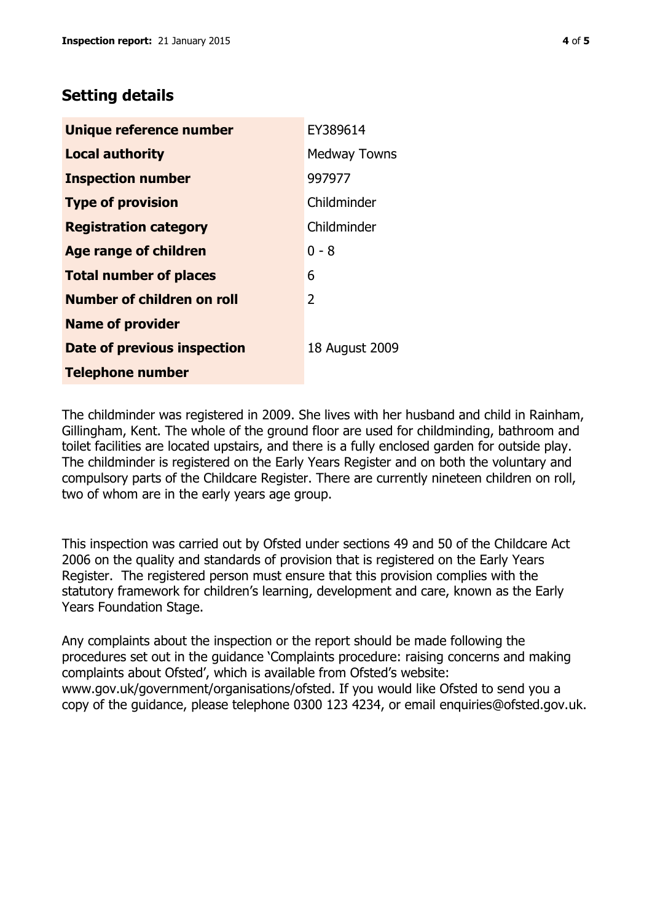## **Setting details**

| Unique reference number       | EY389614            |
|-------------------------------|---------------------|
| <b>Local authority</b>        | <b>Medway Towns</b> |
| <b>Inspection number</b>      | 997977              |
| <b>Type of provision</b>      | Childminder         |
| <b>Registration category</b>  | Childminder         |
| <b>Age range of children</b>  | $0 - 8$             |
| <b>Total number of places</b> | 6                   |
| Number of children on roll    | 2                   |
| <b>Name of provider</b>       |                     |
| Date of previous inspection   | 18 August 2009      |
| <b>Telephone number</b>       |                     |

The childminder was registered in 2009. She lives with her husband and child in Rainham, Gillingham, Kent. The whole of the ground floor are used for childminding, bathroom and toilet facilities are located upstairs, and there is a fully enclosed garden for outside play. The childminder is registered on the Early Years Register and on both the voluntary and compulsory parts of the Childcare Register. There are currently nineteen children on roll, two of whom are in the early years age group.

This inspection was carried out by Ofsted under sections 49 and 50 of the Childcare Act 2006 on the quality and standards of provision that is registered on the Early Years Register. The registered person must ensure that this provision complies with the statutory framework for children's learning, development and care, known as the Early Years Foundation Stage.

Any complaints about the inspection or the report should be made following the procedures set out in the guidance 'Complaints procedure: raising concerns and making complaints about Ofsted', which is available from Ofsted's website: www.gov.uk/government/organisations/ofsted. If you would like Ofsted to send you a copy of the guidance, please telephone 0300 123 4234, or email enquiries@ofsted.gov.uk.